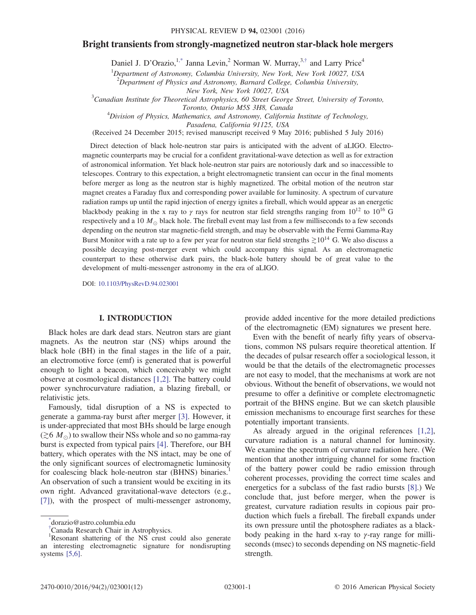# <span id="page-0-2"></span>Bright transients from strongly-magnetized neutron star-black hole mergers

Daniel J. D'Orazio,<sup>[1,\\*](#page-0-0)</sup> Janna Levin,<sup>2</sup> Norman W. Murray,<sup>3,[†](#page-0-1)</sup> and Larry Price<sup>4</sup>

<sup>1</sup>Department of Astronomy, Columbia University, New York, New York 10027, USA

 $2^{2}$ Department of Physics and Astronomy, Barnard College, Columbia University,

New York, New York 10027, USA<br><sup>3</sup>Canadian Institute for Theoretical Astrophysics, 60 Street George Street, University of Toronto,

Toronto, Ontario M5S 3H8, Canada<br><sup>4</sup>Division of Physics, Mathematics, and Astronomy, California Institute of Technology,

Pasadena, California 91125, USA

(Received 24 December 2015; revised manuscript received 9 May 2016; published 5 July 2016)

Direct detection of black hole-neutron star pairs is anticipated with the advent of aLIGO. Electromagnetic counterparts may be crucial for a confident gravitational-wave detection as well as for extraction of astronomical information. Yet black hole-neutron star pairs are notoriously dark and so inaccessible to telescopes. Contrary to this expectation, a bright electromagnetic transient can occur in the final moments before merger as long as the neutron star is highly magnetized. The orbital motion of the neutron star magnet creates a Faraday flux and corresponding power available for luminosity. A spectrum of curvature radiation ramps up until the rapid injection of energy ignites a fireball, which would appear as an energetic blackbody peaking in the x ray to  $\gamma$  rays for neutron star field strengths ranging from  $10^{12}$  to  $10^{16}$  G respectively and a 10  $M_{\odot}$  black hole. The fireball event may last from a few milliseconds to a few seconds depending on the neutron star magnetic-field strength, and may be observable with the Fermi Gamma-Ray Burst Monitor with a rate up to a few per year for neutron star field strengths  $\gtrsim 10^{14}$  G. We also discuss a possible decaying post-merger event which could accompany this signal. As an electromagnetic counterpart to these otherwise dark pairs, the black-hole battery should be of great value to the development of multi-messenger astronomy in the era of aLIGO.

DOI: [10.1103/PhysRevD.94.023001](http://dx.doi.org/10.1103/PhysRevD.94.023001)

# I. INTRODUCTION

Black holes are dark dead stars. Neutron stars are giant magnets. As the neutron star (NS) whips around the black hole (BH) in the final stages in the life of a pair, an electromotive force (emf) is generated that is powerful enough to light a beacon, which conceivably we might observe at cosmological distances [\[1,2\]](#page-11-0). The battery could power synchrocurvature radiation, a blazing fireball, or relativistic jets.

Famously, tidal disruption of a NS is expected to generate a gamma-ray burst after merger [\[3\].](#page-11-1) However, it is under-appreciated that most BHs should be large enough ( $\gtrsim$ 6 M<sub>☉</sub>) to swallow their NSs whole and so no gamma-ray burst is expected from typical pairs [\[4\]](#page-11-2). Therefore, our BH battery, which operates with the NS intact, may be one of the only significant sources of electromagnetic luminosity for coalescing black hole-neutron star (BHNS) binaries.<sup>1</sup> An observation of such a transient would be exciting in its own right. Advanced gravitational-wave detectors (e.g., [\[7\]](#page-11-3)), with the prospect of multi-messenger astronomy,

provide added incentive for the more detailed predictions of the electromagnetic (EM) signatures we present here.

Even with the benefit of nearly fifty years of observations, common NS pulsars require theoretical attention. If the decades of pulsar research offer a sociological lesson, it would be that the details of the electromagnetic processes are not easy to model, that the mechanisms at work are not obvious. Without the benefit of observations, we would not presume to offer a definitive or complete electromagnetic portrait of the BHNS engine. But we can sketch plausible emission mechanisms to encourage first searches for these potentially important transients.

As already argued in the original references [\[1,2\]](#page-11-0), curvature radiation is a natural channel for luminosity. We examine the spectrum of curvature radiation here. (We mention that another intriguing channel for some fraction of the battery power could be radio emission through coherent processes, providing the correct time scales and energetics for a subclass of the fast radio bursts [\[8\].](#page-11-4)) We conclude that, just before merger, when the power is greatest, curvature radiation results in copious pair production which fuels a fireball. The fireball expands under its own pressure until the photosphere radiates as a blackbody peaking in the hard x-ray to  $\gamma$ -ray range for milliseconds (msec) to seconds depending on NS magnetic-field strength.

<span id="page-0-0"></span>[<sup>\\*</sup>](#page-0-2) dorazio@astro.columbia.edu

<span id="page-0-1"></span>[<sup>†</sup>](#page-0-2) Canada Research Chair in Astrophysics.

<sup>&</sup>lt;sup>1</sup>Resonant shattering of the NS<sup>-</sup>crust could also generate an interesting electromagnetic signature for nondisrupting systems [\[5,6\]](#page-11-5).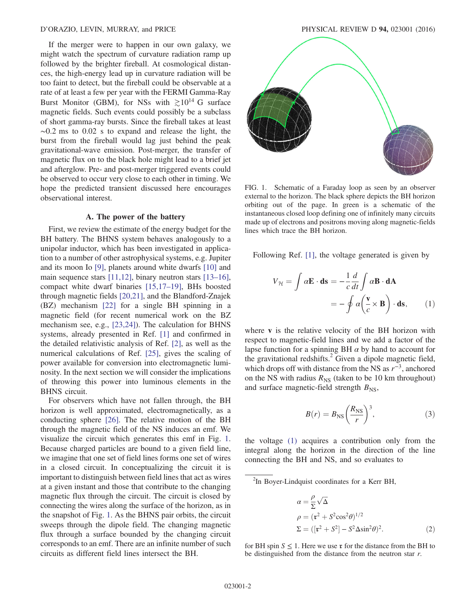If the merger were to happen in our own galaxy, we might watch the spectrum of curvature radiation ramp up followed by the brighter fireball. At cosmological distances, the high-energy lead up in curvature radiation will be too faint to detect, but the fireball could be observable at a rate of at least a few per year with the FERMI Gamma-Ray Burst Monitor (GBM), for NSs with  $\gtrsim 10^{14}$  G surface magnetic fields. Such events could possibly be a subclass of short gamma-ray bursts. Since the fireball takes at least  $\sim$ 0.2 ms to 0.02 s to expand and release the light, the burst from the fireball would lag just behind the peak gravitational-wave emission. Post-merger, the transfer of magnetic flux on to the black hole might lead to a brief jet and afterglow. Pre- and post-merger triggered events could be observed to occur very close to each other in timing. We hope the predicted transient discussed here encourages observational interest.

#### A. The power of the battery

First, we review the estimate of the energy budget for the BH battery. The BHNS system behaves analogously to a unipolar inductor, which has been investigated in application to a number of other astrophysical systems, e.g. Jupiter and its moon Io [\[9\],](#page-11-6) planets around white dwarfs [\[10\]](#page-11-7) and main sequence stars [\[11,12\]](#page-11-8), binary neutron stars [\[13](#page-11-9)–16], compact white dwarf binaries [\[15,17](#page-11-10)–19], BHs boosted through magnetic fields [\[20,21\],](#page-11-11) and the Blandford-Znajek (BZ) mechanism [\[22\]](#page-11-12) for a single BH spinning in a magnetic field (for recent numerical work on the BZ mechanism see, e.g., [\[23,24\]\)](#page-11-13). The calculation for BHNS systems, already presented in Ref. [\[1\]](#page-11-0) and confirmed in the detailed relativistic analysis of Ref. [\[2\],](#page-11-14) as well as the numerical calculations of Ref. [\[25\]](#page-11-15), gives the scaling of power available for conversion into electromagnetic luminosity. In the next section we will consider the implications of throwing this power into luminous elements in the BHNS circuit.

For observers which have not fallen through, the BH horizon is well approximated, electromagnetically, as a conducting sphere [\[26\].](#page-11-16) The relative motion of the BH through the magnetic field of the NS induces an emf. We visualize the circuit which generates this emf in Fig. [1](#page-1-0). Because charged particles are bound to a given field line, we imagine that one set of field lines forms one set of wires in a closed circuit. In conceptualizing the circuit it is important to distinguish between field lines that act as wires at a given instant and those that contribute to the changing magnetic flux through the circuit. The circuit is closed by connecting the wires along the surface of the horizon, as in the snapshot of Fig. [1](#page-1-0). As the BHNS pair orbits, the circuit sweeps through the dipole field. The changing magnetic flux through a surface bounded by the changing circuit corresponds to an emf. There are an infinite number of such circuits as different field lines intersect the BH.

<span id="page-1-0"></span>

FIG. 1. Schematic of a Faraday loop as seen by an observer external to the horizon. The black sphere depicts the BH horizon orbiting out of the page. In green is a schematic of the instantaneous closed loop defining one of infinitely many circuits made up of electrons and positrons moving along magnetic-fields lines which trace the BH horizon.

<span id="page-1-1"></span>Following Ref. [\[1\],](#page-11-0) the voltage generated is given by

$$
V_{\mathcal{H}} = \int \alpha \mathbf{E} \cdot \mathbf{ds} = -\frac{1}{c} \frac{d}{dt} \int \alpha \mathbf{B} \cdot \mathbf{d} \mathbf{A}
$$

$$
= -\oint \alpha \left(\frac{\mathbf{v}}{c} \times \mathbf{B}\right) \cdot \mathbf{ds}, \qquad (1)
$$

<span id="page-1-2"></span>where v is the relative velocity of the BH horizon with respect to magnetic-field lines and we add a factor of the lapse function for a spinning BH  $\alpha$  by hand to account for the gravitational redshifts. $^{2}$  Given a dipole magnetic field, which drops off with distance from the NS as  $r^{-3}$ , anchored on the NS with radius  $R_{\text{NS}}$  (taken to be 10 km throughout) and surface magnetic-field strength  $B_{\text{NS}}$ ,

$$
B(r) = B_{\rm NS} \left(\frac{R_{\rm NS}}{r}\right)^3,\tag{3}
$$

<span id="page-1-3"></span>the voltage [\(1\)](#page-1-1) acquires a contribution only from the integral along the horizon in the direction of the line connecting the BH and NS, and so evaluates to

<sup>2</sup>In Boyer-Lindquist coordinates for a Kerr BH,

$$
\alpha = \frac{\rho}{\Sigma} \sqrt{\Delta}
$$
  
\n
$$
\rho = (\mathbf{r}^2 + S^2 \cos^2 \theta)^{1/2}
$$
  
\n
$$
\Sigma = ([\mathbf{r}^2 + S^2] - S^2 \Delta \sin^2 \theta)^2.
$$
\n(2)

for BH spin  $S \leq 1$ . Here we use r for the distance from the BH to be distinguished from the distance from the neutron star r.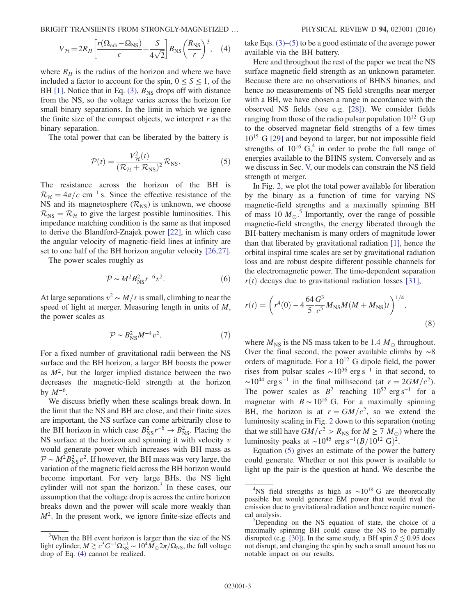BRIGHT TRANSIENTS FROM STRONGLY-MAGNETIZED ... PHYSICAL REVIEW D 94, 023001 (2016)

$$
V_{\mathcal{H}} = 2R_H \left[ \frac{r(\Omega_{\text{orb}} - \Omega_{\text{NS}})}{c} + \frac{S}{4\sqrt{2}} \right] B_{\text{NS}} \left( \frac{R_{\text{NS}}}{r} \right)^3, \quad (4)
$$

where  $R_H$  is the radius of the horizon and where we have included a factor to account for the spin,  $0 \le S \le 1$ , of the BH [\[1\]](#page-11-0). Notice that in Eq. [\(3\),](#page-1-2)  $B_{NS}$  drops off with distance from the NS, so the voltage varies across the horizon for small binary separations. In the limit in which we ignore the finite size of the compact objects, we interpret  $r$  as the binary separation.

<span id="page-2-0"></span>The total power that can be liberated by the battery is

$$
\mathcal{P}(t) = \frac{V_{\mathcal{H}}^2(t)}{(\mathcal{R}_{\mathcal{H}} + \mathcal{R}_{\rm NS})^2} \mathcal{R}_{\rm NS}.
$$
 (5)

The resistance across the horizon of the BH is  $\mathcal{R}_H = 4\pi/c$  cm<sup>-1</sup> s. Since the effective resistance of the NS and its magnetosphere  $(\mathcal{R}_{NS})$  is unknown, we choose  $R_{\text{NS}} = R_H$  to give the largest possible luminosities. This impedance matching condition is the same as that imposed to derive the Blandford-Znajek power [\[22\],](#page-11-12) in which case the angular velocity of magnetic-field lines at infinity are set to one half of the BH horizon angular velocity [\[26,27\]](#page-11-16).

The power scales roughly as

$$
\mathcal{P} \sim M^2 B_{\rm NS}^2 r^{-6} v^2. \tag{6}
$$

At large separations  $v^2 \sim M/r$  is small, climbing to near the speed of light at merger. Measuring length in units of M, the power scales as

$$
\mathcal{P} \sim B_{\rm NS}^2 M^{-4} v^2. \tag{7}
$$

For a fixed number of gravitational radii between the NS surface and the BH horizon, a larger BH boosts the power as  $M^2$ , but the larger implied distance between the two decreases the magnetic-field strength at the horizon by  $M^{-6}$ .

We discuss briefly when these scalings break down. In the limit that the NS and BH are close, and their finite sizes are important, the NS surface can come arbitrarily close to the BH horizon in which case  $B_{\text{NS}}^2 r^{-6} \rightarrow B_{\text{NS}}^2$ . Placing the NS surface at the horizon and spinning it with velocity  $v$ would generate power which increases with BH mass as  $\mathcal{P} \sim M^2 B_{\text{NS}}^2 v^2$ . If however, the BH mass was very large, the variation of the magnetic field across the BH horizon would become important. For very large BHs, the NS light cylinder will not span the horizon.<sup>3</sup> In these cases, our assumption that the voltage drop is across the entire horizon breaks down and the power will scale more weakly than  $M<sup>2</sup>$ . In the present work, we ignore finite-size effects and take Eqs. [\(3\)](#page-1-2)–[\(5\)](#page-2-0) to be a good estimate of the average power available via the BH battery.

Here and throughout the rest of the paper we treat the NS surface magnetic-field strength as an unknown parameter. Because there are no observations of BHNS binaries, and hence no measurements of NS field strengths near merger with a BH, we have chosen a range in accordance with the observed NS fields (see e.g. [\[28\]\)](#page-11-17). We consider fields ranging from those of the radio pulsar population  $10^{12}$  G up to the observed magnetar field strengths of a few times  $10^{15}$  G  $[29]$  and beyond to larger, but not impossible field strengths of  $10^{16}$  G,<sup>4</sup> in order to probe the full range of energies available to the BHNS system. Conversely and as we discuss in Sec. [V,](#page-8-0) our models can constrain the NS field strength at merger.

In Fig. [2](#page-3-0), we plot the total power available for liberation by the binary as a function of time for varying NS magnetic-field strengths and a maximally spinning BH of mass 10  $M_{\odot}$ .<sup>5</sup> Importantly, over the range of possible magnetic-field strengths, the energy liberated through the BH-battery mechanism is many orders of magnitude lower than that liberated by gravitational radiation [\[1\]](#page-11-0), hence the orbital inspiral time scales are set by gravitational radiation loss and are robust despite different possible channels for the electromagnetic power. The time-dependent separation  $r(t)$  decays due to gravitational radiation losses [\[31\]](#page-11-19),

<span id="page-2-1"></span>
$$
r(t) = \left(r^4(0) - 4\frac{64}{5}\frac{G^3}{c^5}M_{\rm NS}M(M + M_{\rm NS})t\right)^{1/4},\tag{8}
$$

where  $M_{\text{NS}}$  is the NS mass taken to be 1.4  $M_{\odot}$  throughout. Over the final second, the power available climbs by ∼8 orders of magnitude. For a  $10^{12}$  G dipole field, the power rises from pulsar scales  $\sim 10^{36}$  erg s<sup>-1</sup> in that second, to ~10<sup>44</sup> erg s<sup>-1</sup> in the final millisecond (at  $r = 2GM/c^2$ ). The power scales as  $B^2$  reaching  $10^{52}$  erg s<sup>-1</sup> for a magnetar with  $B \sim 10^{16}$  G. For a maximally spinning BH, the horizon is at  $r = GM/c^2$ , so we extend the luminosity scaling in Fig. [2](#page-3-0) down to this separation (noting that we still have  $GM/c^2 > R_{\text{NS}}$  for  $M \geq 7 M_{\odot}$ ) where the luminosity peaks at  $\sim 10^{45}$  erg s<sup>-1</sup> $(B/10^{12} \text{ G})^2$ .

Equation [\(5\)](#page-2-0) gives an estimate of the power the battery could generate. Whether or not this power is available to light up the pair is the question at hand. We describe the

<sup>&</sup>lt;sup>3</sup>When the BH event horizon is larger than the size of the NS light cylinder,  $M \gtrsim c^3 G^{-1} \Omega_{\rm NS}^{-1} \sim 10^4 M_\odot 2\pi/\Omega_{\rm NS}$ , the full voltage drop of Eq. [\(4\)](#page-1-3) cannot be realized.

<sup>&</sup>lt;sup>4</sup>NS field strengths as high as ~10<sup>18</sup> G are theoretically possible but would generate EM power that would rival the emission due to gravitational radiation and hence require numerical analysis.

Depending on the NS equation of state, the choice of a maximally spinning BH could cause the NS to be partially disrupted (e.g. [\[30\]](#page-11-20)). In the same study, a BH spin  $S \lesssim 0.95$  does not disrupt, and changing the spin by such a small amount has no notable impact on our results.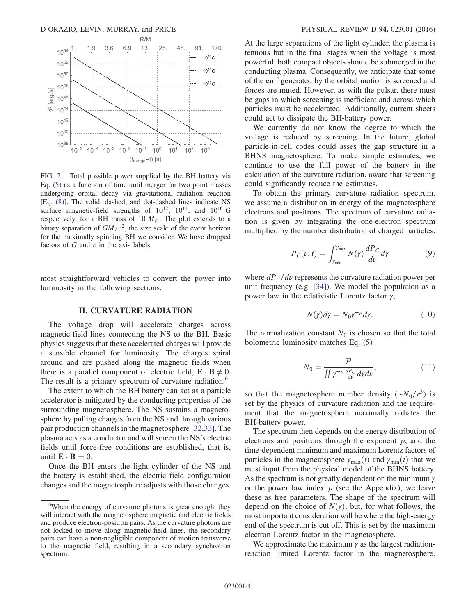<span id="page-3-0"></span>

FIG. 2. Total possible power supplied by the BH battery via Eq. [\(5\)](#page-2-0) as a function of time until merger for two point masses undergoing orbital decay via gravitational radiation reaction [Eq. [\(8\)\]](#page-2-1). The solid, dashed, and dot-dashed lines indicate NS surface magnetic-field strengths of  $10^{12}$ ,  $10^{14}$ , and  $10^{16}$  G respectively, for a BH mass of 10  $M_{\odot}$ . The plot extends to a binary separation of  $GM/c^2$ , the size scale of the event horizon for the maximally spinning BH we consider. We hove dropped factors of  $G$  and  $c$  in the axis labels.

most straightforward vehicles to convert the power into luminosity in the following sections.

#### II. CURVATURE RADIATION

The voltage drop will accelerate charges across magnetic-field lines connecting the NS to the BH. Basic physics suggests that these accelerated charges will provide a sensible channel for luminosity. The charges spiral around and are pushed along the magnetic fields when there is a parallel component of electric field,  $\mathbf{E} \cdot \mathbf{B} \neq 0$ . The result is a primary spectrum of curvature radiation.<sup>6</sup>

The extent to which the BH battery can act as a particle accelerator is mitigated by the conducting properties of the surrounding magnetosphere. The NS sustains a magnetosphere by pulling charges from the NS and through various pair production channels in the magnetosphere [\[32,33\]](#page-11-21). The plasma acts as a conductor and will screen the NS's electric fields until force-free conditions are established, that is, until  $\mathbf{E} \cdot \mathbf{B} = 0$ .

Once the BH enters the light cylinder of the NS and the battery is established, the electric field configuration changes and the magnetosphere adjusts with those changes. At the large separations of the light cylinder, the plasma is tenuous but in the final stages when the voltage is most powerful, both compact objects should be submerged in the conducting plasma. Consequently, we anticipate that some of the emf generated by the orbital motion is screened and forces are muted. However, as with the pulsar, there must be gaps in which screening is inefficient and across which particles must be accelerated. Additionally, current sheets could act to dissipate the BH-battery power.

We currently do not know the degree to which the voltage is reduced by screening. In the future, global particle-in-cell codes could asses the gap structure in a BHNS magnetosphere. To make simple estimates, we continue to use the full power of the battery in the calculation of the curvature radiation, aware that screening could significantly reduce the estimates.

To obtain the primary curvature radiation spectrum, we assume a distribution in energy of the magnetosphere electrons and positrons. The spectrum of curvature radiation is given by integrating the one-electron spectrum multiplied by the number distribution of charged particles.

$$
P_C(\nu, t) = \int_{\gamma_{\min}}^{\gamma_{\max}} N(\gamma) \frac{dP_C}{d\nu} d\gamma \tag{9}
$$

where  $dP_C/d\nu$  represents the curvature radiation power per unit frequency (e.g. [\[34\]](#page-11-22)). We model the population as a power law in the relativistic Lorentz factor  $γ$ ,

$$
N(\gamma)d\gamma = N_0\gamma^{-p}d\gamma.
$$
 (10)

The normalization constant  $N_0$  is chosen so that the total bolometric luminosity matches Eq. [\(5\)](#page-2-0)

$$
N_0 = \frac{\mathcal{P}}{\iint \gamma^{-p} \frac{dP_C}{d\nu} d\gamma d\nu},\qquad(11)
$$

so that the magnetosphere number density  $({\sim}N_0/r^3)$  is set by the physics of curvature radiation and the requirement that the magnetosphere maximally radiates the BH-battery power.

The spectrum then depends on the energy distribution of electrons and positrons through the exponent  $p$ , and the time-dependent minimum and maximum Lorentz factors of particles in the magnetosphere  $\gamma_{\text{max}}(t)$  and  $\gamma_{\text{min}}(t)$  that we must input from the physical model of the BHNS battery. As the spectrum is not greatly dependent on the minimum  $\gamma$ or the power law index  $p$  (see the Appendix), we leave these as free parameters. The shape of the spectrum will depend on the choice of  $N(\gamma)$ , but, for what follows, the most important consideration will be where the high-energy end of the spectrum is cut off. This is set by the maximum electron Lorentz factor in the magnetosphere.

We approximate the maximum  $\gamma$  as the largest radiationreaction limited Lorentz factor in the magnetosphere.

<sup>&</sup>lt;sup>6</sup>When the energy of curvature photons is great enough, they will interact with the magnetosphere magnetic and electric fields and produce electron-positron pairs. As the curvature photons are not locked to move along magnetic-field lines, the secondary pairs can have a non-negligible component of motion transverse to the magnetic field, resulting in a secondary synchrotron spectrum.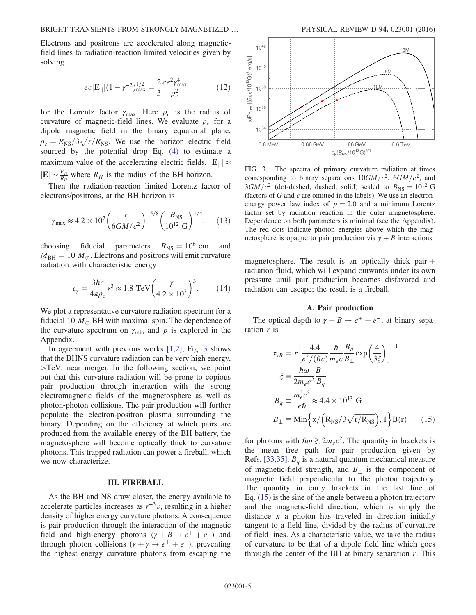Electrons and positrons are accelerated along magneticfield lines to radiation-reaction limited velocities given by solving

$$
ec|\mathbf{E}_{\parallel}| (1 - \gamma^{-2})_{\text{max}}^{1/2} = \frac{2}{3} \frac{ce^2 \gamma_{\text{max}}^4}{\rho_c^2}
$$
 (12)

for the Lorentz factor  $\gamma_{\text{max}}$ . Here  $\rho_c$  is the radius of curvature of magnetic-field lines. We evaluate  $\rho_c$  for a dipole magnetic field in the binary equatorial plane,  $\rho_c = R_{\rm NS} / 3 \sqrt{r/R_{\rm NS}}$ . We use the horizon electric field sourced by the potential drop Eq. [\(4\)](#page-1-3) to estimate a maximum value of the accelerating electric fields,  $|\mathbf{E}_{\parallel}| \approx$  $|\mathbf{E}| \sim \frac{V_H}{R_H}$  where  $R_H$  is the radius of the BH horizon.

<span id="page-4-3"></span>Then the radiation-reaction limited Lorentz factor of electrons/positrons, at the BH horizon is

$$
\gamma_{\text{max}} \approx 4.2 \times 10^7 \left( \frac{r}{6GM/c^2} \right)^{-5/8} \left( \frac{B_{\text{NS}}}{10^{12} \text{ G}} \right)^{1/4}, \quad (13)
$$

choosing fiducial parameters  $R_{\text{NS}} = 10^6$  cm and  $M_{\text{BH}} = 10 M_{\odot}$ . Electrons and positrons will emit curvature radiation with characteristic energy

$$
\epsilon_{\gamma} = \frac{3hc}{4\pi\rho_c} \gamma^3 \approx 1.8 \text{ TeV} \left(\frac{\gamma}{4.2 \times 10^7}\right)^3. \tag{14}
$$

We plot a representative curvature radiation spectrum for a fiducial 10  $M_{\odot}$  BH with maximal spin. The dependence of the curvature spectrum on  $\gamma_{\text{min}}$  and p is explored in the Appendix.

In agreement with previous works  $[1,2]$ , Fig. [3](#page-4-0) shows that the BHNS curvature radiation can be very high energy, >TeV, near merger. In the following section, we point out that this curvature radiation will be prone to copious pair production through interaction with the strong electromagnetic fields of the magnetosphere as well as photon-photon collisions. The pair production will further populate the electron-positron plasma surrounding the binary. Depending on the efficiency at which pairs are produced from the available energy of the BH battery, the magnetosphere will become optically thick to curvature photons. This trapped radiation can power a fireball, which we now characterize.

## III. FIREBALL

<span id="page-4-2"></span>As the BH and NS draw closer, the energy available to accelerate particles increases as  $r^{-3}v$ , resulting in a higher density of higher energy curvature photons. A consequence is pair production through the interaction of the magnetic field and high-energy photons  $(\gamma + B \rightarrow e^+ + e^-)$  and through photon collisions ( $\gamma + \gamma \rightarrow e^+ + e^-$ ), preventing the highest energy curvature photons from escaping the

<span id="page-4-0"></span>

FIG. 3. The spectra of primary curvature radiation at times corresponding to binary separations  $10GM/c^2$ ,  $6GM/c^2$ , and  $3GM/c^2$  (dot-dashed, dashed, solid) scaled to  $B_{NS} = 10^{12}$  G (factors of  $G$  and  $c$  are omitted in the labels). We use an electronenergy power law index of  $p = 2.0$  and a minimum Lorentz factor set by radiation reaction in the outer magnetosphere. Dependence on both parameters is minimal (see the Appendix). The red dots indicate photon energies above which the magnetosphere is opaque to pair production via  $\gamma + B$  interactions.

magnetosphere. The result is an optically thick pair  $+$ radiation fluid, which will expand outwards under its own pressure until pair production becomes disfavored and radiation can escape; the result is a fireball.

## A. Pair production

<span id="page-4-1"></span>The optical depth to  $\gamma + B \rightarrow e^+ + e^-$ , at binary separation  $r$  is

$$
\tau_{\gamma B} = r \left[ \frac{4.4}{e^2 / (\hbar c)} \frac{\hbar}{m_e c} \frac{B_q}{B_\perp} \exp\left(\frac{4}{3\xi}\right) \right]^{-1}
$$
  

$$
\xi \equiv \frac{\hbar \omega}{2m_e c^2} \frac{B_\perp}{B_q}
$$
  

$$
B_q \equiv \frac{m_e^2 c^3}{e\hbar} \approx 4.4 \times 10^{13} \text{ G}
$$
  

$$
B_\perp \equiv \text{Min} \left\{ \frac{x}{\left(R_{\text{NS}}/3\sqrt{r/R_{\text{NS}}}\right), 1 \right\} \text{B(r)} \qquad (15)
$$

for photons with  $\hbar \omega \gtrsim 2m_e c^2$ . The quantity in brackets is the mean free path for pair production given by Refs. [\[33,35\],](#page-11-23)  $B<sub>a</sub>$  is a natural quantum mechanical measure of magnetic-field strength, and  $B_{\perp}$  is the component of magnetic field perpendicular to the photon trajectory. The quantity in curly brackets in the last line of Eq. [\(15\)](#page-4-1) is the sine of the angle between a photon trajectory and the magnetic-field direction, which is simply the distance  $x$  a photon has traveled in direction initially tangent to a field line, divided by the radius of curvature of field lines. As a characteristic value, we take the radius of curvature to be that of a dipole field line which goes through the center of the BH at binary separation  $r$ . This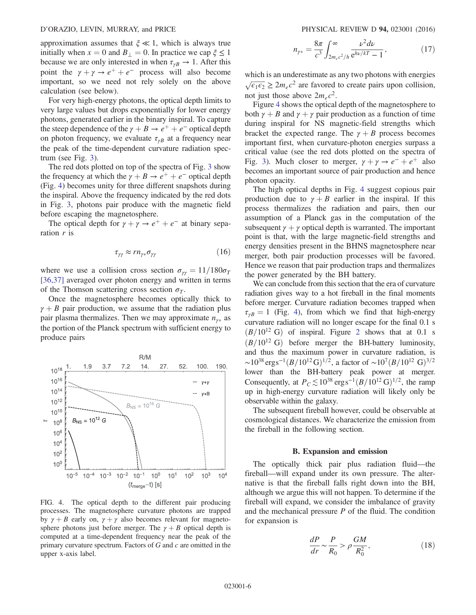approximation assumes that  $\xi \ll 1$ , which is always true initially when  $x = 0$  and  $B_{\perp} = 0$ . In practice we cap  $\xi \le 1$ because we are only interested in when  $\tau_{\gamma B} \rightarrow 1$ . After this point the  $\gamma + \gamma \rightarrow e^+ + e^-$  process will also become important, so we need not rely solely on the above calculation (see below).

For very high-energy photons, the optical depth limits to very large values but drops exponentially for lower energy photons, generated earlier in the binary inspiral. To capture the steep dependence of the  $\gamma + B \rightarrow e^+ + e^-$  optical depth on photon frequency, we evaluate  $\tau_{\gamma B}$  at a frequency near the peak of the time-dependent curvature radiation spectrum (see Fig. [3\)](#page-4-0).

The red dots plotted on top of the spectra of Fig. [3](#page-4-0) show the frequency at which the  $\gamma + B \rightarrow e^+ + e^-$  optical depth (Fig. [4](#page-5-0)) becomes unity for three different snapshots during the inspiral. Above the frequency indicated by the red dots in Fig. [3](#page-4-0), photons pair produce with the magnetic field before escaping the magnetosphere.

<span id="page-5-1"></span>The optical depth for  $\gamma + \gamma \rightarrow e^+ + e^-$  at binary separation  $r$  is

$$
\tau_{\gamma\gamma} \approx r n_{\gamma*} \sigma_{\gamma\gamma} \tag{16}
$$

where we use a collision cross section  $\sigma_{\gamma\gamma} = 11/180\sigma_T$ [\[36,37\]](#page-11-24) averaged over photon energy and written in terms of the Thomson scattering cross section  $\sigma_T$ .

Once the magnetosphere becomes optically thick to  $\gamma + B$  pair production, we assume that the radiation plus pair plasma thermalizes. Then we may approximate  $n_{\gamma*}$  as the portion of the Planck spectrum with sufficient energy to produce pairs

<span id="page-5-0"></span>

FIG. 4. The optical depth to the different pair producing processes. The magnetosphere curvature photons are trapped by  $\gamma + B$  early on,  $\gamma + \gamma$  also becomes relevant for magnetosphere photons just before merger. The  $\gamma + B$  optical depth is computed at a time-dependent frequency near the peak of the primary curvature spectrum. Factors of  $G$  and  $c$  are omitted in the upper x-axis label.

$$
n_{\gamma*} = \frac{8\pi}{c^3} \int_{2m_e c^2/h}^{\infty} \frac{\nu^2 d\nu}{e^{h\nu/kT} - 1},
$$
 (17)

which is an underestimate as any two photons with energies  $\sqrt{\epsilon_1 \epsilon_2} \geq 2 m_e c^2$  are favored to create pairs upon collision, not just those above  $2m_e c^2$ .

Figure [4](#page-5-0) shows the optical depth of the magnetosphere to both  $\gamma + B$  and  $\gamma + \gamma$  pair production as a function of time during inspiral for NS magnetic-field strengths which bracket the expected range. The  $\gamma + B$  process becomes important first, when curvature-photon energies surpass a critical value (see the red dots plotted on the spectra of Fig. [3](#page-4-0)). Much closer to merger,  $\gamma + \gamma \rightarrow e^- + e^+$  also becomes an important source of pair production and hence photon opacity.

The high optical depths in Fig. [4](#page-5-0) suggest copious pair production due to  $\gamma + B$  earlier in the inspiral. If this process thermalizes the radiation and pairs, then our assumption of a Planck gas in the computation of the subsequent  $\gamma + \gamma$  optical depth is warranted. The important point is that, with the large magnetic-field strengths and energy densities present in the BHNS magnetosphere near merger, both pair production processes will be favored. Hence we reason that pair production traps and thermalizes the power generated by the BH battery.

We can conclude from this section that the era of curvature radiation gives way to a hot fireball in the final moments before merger. Curvature radiation becomes trapped when  $\tau_{\gamma B} = 1$  (Fig. [4](#page-5-0)), from which we find that high-energy curvature radiation will no longer escape for the final 0.1 s  $(B/10^{12} \text{ G})$  $(B/10^{12} \text{ G})$  $(B/10^{12} \text{ G})$  of inspiral. Figure 2 shows that at 0.1 s  $(B/10^{12} \text{ G})$  before merger the BH-battery luminosity, and thus the maximum power in curvature radiation, is  $\sim$ 10<sup>38</sup> ergs<sup>-1</sup>(B/10<sup>12</sup>G)<sup>1/2</sup>, a factor of  $\sim$ 10<sup>7</sup>(B/10<sup>12</sup> G)<sup>3/2</sup> lower than the BH-battery peak power at merger. Consequently, at  $P_c \lesssim 10^{38} \text{ erg s}^{-1} (B/10^{12} \text{ G})^{1/2}$ , the ramp up in high-energy curvature radiation will likely only be observable within the galaxy.

The subsequent fireball however, could be observable at cosmological distances. We characterize the emission from the fireball in the following section.

#### B. Expansion and emission

The optically thick pair plus radiation fluid—the fireball—will expand under its own pressure. The alternative is that the fireball falls right down into the BH, although we argue this will not happen. To determine if the fireball will expand, we consider the imbalance of gravity and the mechanical pressure  $P$  of the fluid. The condition for expansion is

$$
\frac{dP}{dr} \sim \frac{P}{R_0} > \rho \frac{GM}{R_0^2},\qquad(18)
$$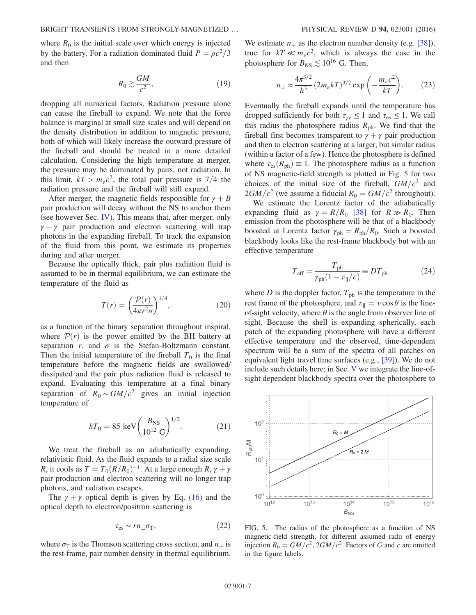where  $R_0$  is the initial scale over which energy is injected by the battery. For a radiation dominated fluid  $P = \rho c^2/3$ and then

$$
R_0 \gtrsim \frac{GM}{c^2},\tag{19}
$$

dropping all numerical factors. Radiation pressure alone can cause the fireball to expand. We note that the force balance is marginal at small size scales and will depend on the density distribution in addition to magnetic pressure, both of which will likely increase the outward pressure of the fireball and should be treated in a more detailed calculation. Considering the high temperature at merger, the pressure may be dominated by pairs, not radiation. In this limit,  $kT > m_e c^2$ , the total pair pressure is 7/4 the radiation pressure and the fireball will still expand.

After merger, the magnetic fields responsible for  $\gamma + B$ pair production will decay without the NS to anchor them (see however Sec. [IV](#page-7-0)). This means that, after merger, only  $\gamma + \gamma$  pair production and electron scattering will trap photons in the expanding fireball. To track the expansion of the fluid from this point, we estimate its properties during and after merger.

Because the optically thick, pair plus radiation fluid is assumed to be in thermal equilibrium, we can estimate the temperature of the fluid as

$$
T(r) = \left(\frac{\mathcal{P}(r)}{4\pi r^2 \sigma}\right)^{1/4},\tag{20}
$$

as a function of the binary separation throughout inspiral, where  $\mathcal{P}(r)$  is the power emitted by the BH battery at separation r, and  $\sigma$  is the Stefan-Boltzmann constant. Then the initial temperature of the fireball  $T_0$  is the final temperature before the magnetic fields are swallowed/ dissipated and the pair plus radiation fluid is released to expand. Evaluating this temperature at a final binary separation of  $R_0 \sim GM/c^2$  gives an initial injection temperature of

<span id="page-6-2"></span>
$$
kT_0 = 85 \text{ keV} \left(\frac{B_{\text{NS}}}{10^{12} \text{ G}}\right)^{1/2}.
$$
 (21)

We treat the fireball as an adiabatically expanding, relativistic fluid. As the fluid expands to a radial size scale R, it cools as  $T = T_0(R/R_0)^{-1}$ . At a large enough R,  $\gamma + \gamma$ pair production and electron scattering will no longer trap photons, and radiation escapes.

The  $\gamma + \gamma$  optical depth is given by Eq. [\(16\)](#page-5-1) and the optical depth to electron/positron scattering is

$$
\tau_{\rm es} \sim r n_{\pm} \sigma_{\rm T},\tag{22}
$$

where  $\sigma_{\rm T}$  is the Thomson scattering cross section, and  $n_+$  is the rest-frame, pair number density in thermal equilibrium.

We estimate  $n_+$  as the electron number density (e.g. [\[38\]](#page-11-25)), true for  $kT \ll m_e c^2$ , which is always the case in the photosphere for  $B_{\text{NS}} \lesssim 10^{16}$  G. Then,

$$
n_{\pm} \approx \frac{4\pi^{3/2}}{h^3} (2m_e kT)^{3/2} \exp\left(-\frac{m_e c^2}{kT}\right).
$$
 (23)

Eventually the fireball expands until the temperature has dropped sufficiently for both  $\tau_{\gamma\gamma} \leq 1$  and  $\tau_{\text{es}} \leq 1$ . We call this radius the photosphere radius  $R_{ph}$ . We find that the fireball first becomes transparent to  $\gamma + \gamma$  pair production and then to electron scattering at a larger, but similar radius (within a factor of a few). Hence the photosphere is defined where  $\tau_{es}(R_{\text{ph}}) \equiv 1$ . The photosphere radius as a function of NS magnetic-field strength is plotted in Fig. [5](#page-6-0) for two choices of the initial size of the fireball,  $GM/c^2$  and  $2GM/c^2$  (we assume a fiducial  $R_0 = GM/c^2$  throughout).

<span id="page-6-1"></span>We estimate the Lorentz factor of the adiabatically expanding fluid as  $\gamma = R/R_0$  [\[38\]](#page-11-25) for  $R \gg R_0$ . Then emission from the photosphere will be that of a blackbody boosted at Lorentz factor  $\gamma_{ph}=R_{ph}/R_0$ . Such a boosted blackbody looks like the rest-frame blackbody but with an effective temperature

$$
T_{\rm eff} = \frac{T_{\rm ph}}{\gamma_{\rm ph}(1 - v_{\parallel}/c)} \equiv D T_{\rm ph} \eqno(24)
$$

where D is the doppler factor,  $T_{ph}$  is the temperature in the rest frame of the photosphere, and  $v_{\parallel} = v \cos \theta$  is the lineof-sight velocity, where  $\theta$  is the angle from observer line of sight. Because the shell is expanding spherically, each patch of the expanding photosphere will have a different effective temperature and the observed, time-dependent spectrum will be a sum of the spectra of all patches on equivalent light travel time surfaces (e.g., [\[39\]\)](#page-11-26). We do not include such details here; in Sec. [V](#page-8-0) we integrate the line-ofsight dependent blackbody spectra over the photosphere to

<span id="page-6-0"></span>

FIG. 5. The radius of the photosphere as a function of NS magnetic-field strength, for different assumed radii of energy injection  $R_0 = GM/c^2$ ,  $2GM/c^2$ . Factors of G and c are omitted in the figure labels.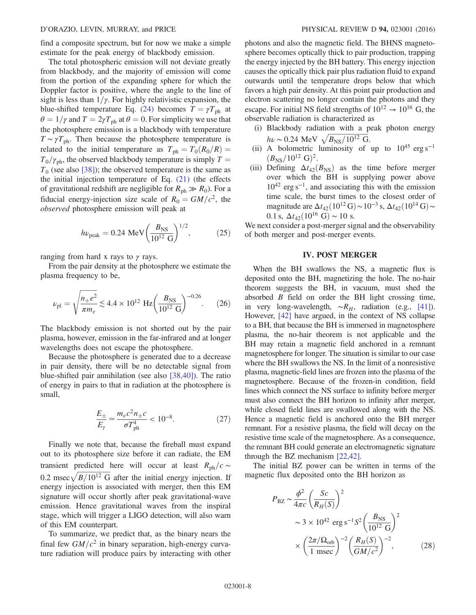find a composite spectrum, but for now we make a simple estimate for the peak energy of blackbody emission.

The total photospheric emission will not deviate greatly from blackbody, and the majority of emission will come from the portion of the expanding sphere for which the Doppler factor is positive, where the angle to the line of sight is less than  $1/\gamma$ . For highly relativistic expansion, the blue-shifted temperature Eq. [\(24\)](#page-6-1) becomes  $T = \gamma T_{ph}$  at  $\theta = 1/\gamma$  and  $T = 2\gamma T_{\text{ph}}$  at  $\theta = 0$ . For simplicity we use that the photosphere emission is a blackbody with temperature  $T \sim \gamma T_{\text{ph}}$ . Then because the photosphere temperature is related to the initial temperature as  $T_{ph} = T_0(R_0/R)$  $T_0/\gamma_{\rm ph}$ , the observed blackbody temperature is simply T =  $T_0$  (see also [\[38\]\)](#page-11-25); the observed temperature is the same as the initial injection temperature of Eq. [\(21\)](#page-6-2) (the effects of gravitational redshift are negligible for  $R_{ph} \gg R_0$ ). For a fiducial energy-injection size scale of  $R_0 = GM/c^2$ , the observed photosphere emission will peak at

<span id="page-7-1"></span>
$$
h\nu_{\text{peak}} = 0.24 \text{ MeV} \left( \frac{B_{\text{NS}}}{10^{12} \text{ G}} \right)^{1/2},
$$
 (25)

ranging from hard x rays to  $\gamma$  rays.

From the pair density at the photosphere we estimate the plasma frequency to be,

$$
\nu_{\rm pl} = \sqrt{\frac{n_{\pm}e^2}{\pi m_e}} \lesssim 4.4 \times 10^{12} \text{ Hz} \left(\frac{B_{\rm NS}}{10^{12} \text{ G}}\right)^{-0.26}.
$$
 (26)

The blackbody emission is not shorted out by the pair plasma, however, emission in the far-infrared and at longer wavelengths does not escape the photosphere.

Because the photosphere is generated due to a decrease in pair density, there will be no detectable signal from blue-shifted pair annihilation (see also [\[38,40\]\)](#page-11-25). The ratio of energy in pairs to that in radiation at the photosphere is small,

$$
\frac{E_{\pm}}{E_{\gamma}} \simeq \frac{m_e c^2 n_{\pm} c}{\sigma T_{\text{ph}}^4} < 10^{-8}.\tag{27}
$$

Finally we note that, because the fireball must expand out to its photosphere size before it can radiate, the EM transient predicted here will occur at least  $R_{\text{ph}}/c$  ∼ 0.2 msec $\sqrt{B/10^{12} \text{ G}}$  after the initial energy injection. If energy injection is associated with merger, then this EM signature will occur shortly after peak gravitational-wave emission. Hence gravitational waves from the inspiral stage, which will trigger a LIGO detection, will also warn of this EM counterpart.

To summarize, we predict that, as the binary nears the final few  $GM/c^2$  in binary separation, high-energy curvature radiation will produce pairs by interacting with other photons and also the magnetic field. The BHNS magnetosphere becomes optically thick to pair production, trapping the energy injected by the BH battery. This energy injection causes the optically thick pair plus radiation fluid to expand outwards until the temperature drops below that which favors a high pair density. At this point pair production and electron scattering no longer contain the photons and they escape. For initial NS field strengths of  $10^{12} \rightarrow 10^{16}$  G, the observable radiation is characterized as

- (i) Blackbody radiation with a peak photon energy  $h\nu \sim 0.24 \text{ MeV } \sqrt{B_{\text{NS}}/10^{12} \text{ G}}.$
- (ii) A bolometric luminosity of up to  $10^{45}$  erg s<sup>-1</sup>  $(B_{NS}/10^{12} \text{ G})^2$ .
- (iii) Defining  $\Delta t_{42}(B_{\text{NS}})$  as the time before merger over which the BH is supplying power above  $10^{42}$  erg s<sup>-1</sup>, and associating this with the emission time scale, the burst times to the closest order of magnitude are  $\Delta t_{42}$ (10<sup>12</sup> G) ~ 10<sup>-3</sup> s,  $\Delta t_{42}$ (10<sup>14</sup> G) ~ 0.1 s,  $\Delta t_{42}$ (10<sup>16</sup> G) ~ 10 s.

We next consider a post-merger signal and the observability of both merger and post-merger events.

# IV. POST MERGER

<span id="page-7-0"></span>When the BH swallows the NS, a magnetic flux is deposited onto the BH, magnetizing the hole. The no-hair theorem suggests the BH, in vacuum, must shed the absorbed B field on order the BH light crossing time, in very long-wavelength,  $~\sim R_H$ , radiation (e.g., [\[41\]](#page-11-27)). However, [\[42\]](#page-11-28) have argued, in the context of NS collapse to a BH, that because the BH is immersed in magnetosphere plasma, the no-hair theorem is not applicable and the BH may retain a magnetic field anchored in a remnant magnetosphere for longer. The situation is similar to our case where the BH swallows the NS. In the limit of a nonresistive plasma, magnetic-field lines are frozen into the plasma of the magnetosphere. Because of the frozen-in condition, field lines which connect the NS surface to infinity before merger must also connect the BH horizon to infinity after merger, while closed field lines are swallowed along with the NS. Hence a magnetic field is anchored onto the BH merger remnant. For a resistive plasma, the field will decay on the resistive time scale of the magnetosphere. As a consequence, the remnant BH could generate an electromagnetic signature through the BZ mechanism [\[22,42\].](#page-11-12)

<span id="page-7-2"></span>The initial BZ power can be written in terms of the magnetic flux deposited onto the BH horizon as

$$
P_{\rm BZ} \sim \frac{\phi^2}{4\pi c} \left(\frac{Sc}{R_H(S)}\right)^2
$$
  
 
$$
\sim 3 \times 10^{42} \text{ erg s}^{-1} S^2 \left(\frac{B_{\rm NS}}{10^{12} \text{ G}}\right)^2
$$
  
 
$$
\times \left(\frac{2\pi/\Omega_{\rm orb}}{1 \text{ msec}}\right)^{-2} \left(\frac{R_H(S)}{GM/c^2}\right)^{-2}, \tag{28}
$$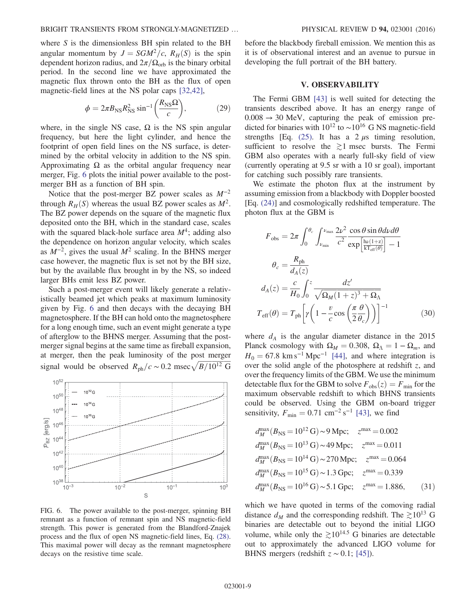where  $S$  is the dimensionless BH spin related to the BH angular momentum by  $J = SGM^2/c$ ,  $R_H(S)$  is the spin dependent horizon radius, and  $2\pi/\Omega_{\rm orb}$  is the binary orbital period. In the second line we have approximated the magnetic flux thrown onto the BH as the flux of open magnetic-field lines at the NS polar caps [\[32,42\],](#page-11-21)

$$
\phi = 2\pi B_{\rm NS} R_{\rm NS}^2 \sin^{-1} \left( \frac{R_{\rm NS} \Omega}{c} \right),\tag{29}
$$

where, in the single NS case,  $\Omega$  is the NS spin angular frequency, but here the light cylinder, and hence the footprint of open field lines on the NS surface, is determined by the orbital velocity in addition to the NS spin. Approximating  $\Omega$  as the orbital angular frequency near merger, Fig. [6](#page-8-1) plots the initial power available to the postmerger BH as a function of BH spin.

Notice that the post-merger BZ power scales as  $M^{-2}$ through  $R_H(S)$  whereas the usual BZ power scales as  $M^2$ . The BZ power depends on the square of the magnetic flux deposited onto the BH, which in the standard case, scales with the squared black-hole surface area  $M<sup>4</sup>$ ; adding also the dependence on horizon angular velocity, which scales as  $M^{-2}$ , gives the usual  $M^2$  scaling. In the BHNS merger case however, the magnetic flux is set not by the BH size, but by the available flux brought in by the NS, so indeed larger BHs emit less BZ power.

Such a post-merger event will likely generate a relativistically beamed jet which peaks at maximum luminosity given by Fig. [6](#page-8-1) and then decays with the decaying BH magnetosphere. If the BH can hold onto the magnetosphere for a long enough time, such an event might generate a type of afterglow to the BHNS merger. Assuming that the postmerger signal begins at the same time as fireball expansion, at merger, then the peak luminosity of the post merger signal would be observed  $R_{ph}/c \sim 0.2$  msec  $\sqrt{B/10^{12} \text{ G}}$ 

<span id="page-8-1"></span>

FIG. 6. The power available to the post-merger, spinning BH remnant as a function of remnant spin and NS magnetic-field strength. This power is generated from the Blandford-Znajek process and the flux of open NS magnetic-field lines, Eq. [\(28\).](#page-7-2) This maximal power will decay as the remnant magnetosphere decays on the resistive time scale.

before the blackbody fireball emission. We mention this as it is of observational interest and an avenue to pursue in developing the full portrait of the BH battery.

## V. OBSERVABILITY

<span id="page-8-0"></span>The Fermi GBM [\[43\]](#page-11-29) is well suited for detecting the transients described above. It has an energy range of  $0.008 \rightarrow 30$  MeV, capturing the peak of emission predicted for binaries with  $10^{12}$  to ~10<sup>16</sup> G NS magnetic-field strengths [Eq.  $(25)$ . It has a 2  $\mu$ s timing resolution, sufficient to resolve the  $\geq 1$  msec bursts. The Fermi GBM also operates with a nearly full-sky field of view (currently operating at 9.5 sr with a 10 sr goal), important for catching such possibly rare transients.

We estimate the photon flux at the instrument by assuming emission from a blackbody with Doppler boosted [Eq. [\(24\)\]](#page-6-1) and cosmologically redshifted temperature. The photon flux at the GBM is

$$
F_{\text{obs}} = 2\pi \int_0^{\theta_c} \int_{\nu_{\text{min}}}^{\nu_{\text{max}}} \frac{2\nu^2}{c^2} \frac{\cos\theta \sin\theta d\nu d\theta}{\exp\left[\frac{\ln(1+z)}{kT_{\text{eff}}(\theta)}\right] - 1}
$$

$$
\theta_c = \frac{R_{\text{ph}}}{d_A(z)}
$$

$$
d_A(z) = \frac{c}{H_0} \int_0^z \frac{dz'}{\sqrt{\Omega_M(1+z)^3 + \Omega_\Lambda}}
$$

$$
T_{\text{eff}}(\theta) = T_{\text{ph}} \left[ \gamma \left(1 - \frac{v}{c} \cos\left(\frac{\pi}{2} \frac{\theta}{\theta_c}\right)\right) \right]^{-1} \tag{30}
$$

where  $d_A$  is the angular diameter distance in the 2015 Planck cosmology with  $\Omega_M = 0.308$ ,  $\Omega_{\Lambda} = 1 - \Omega_m$ , and  $H_0 = 67.8$  km s<sup>-1</sup> Mpc<sup>-1</sup> [\[44\]](#page-11-30), and where integration is over the solid angle of the photosphere at redshift  $z$ , and over the frequency limits of the GBM. We use the minimum detectable flux for the GBM to solve  $F_{obs}(z) = F_{min}$  for the maximum observable redshift to which BHNS transients could be observed. Using the GBM on-board trigger sensitivity,  $F_{\text{min}} = 0.71 \text{ cm}^{-2} \text{ s}^{-1}$  [\[43\]](#page-11-29), we find

$$
d_M^{\max}(B_{\text{NS}} = 10^{12} \text{ G}) \sim 9 \text{ Mpc}; \quad z^{\max} = 0.002
$$
  
\n
$$
d_M^{\max}(B_{\text{NS}} = 10^{13} \text{ G}) \sim 49 \text{ Mpc}; \quad z^{\max} = 0.011
$$
  
\n
$$
d_M^{\max}(B_{\text{NS}} = 10^{14} \text{ G}) \sim 270 \text{ Mpc}; \quad z^{\max} = 0.064
$$
  
\n
$$
d_M^{\max}(B_{\text{NS}} = 10^{15} \text{ G}) \sim 1.3 \text{ Gpc}; \quad z^{\max} = 0.339
$$
  
\n
$$
d_M^{\max}(B_{\text{NS}} = 10^{16} \text{ G}) \sim 5.1 \text{ Gpc}; \quad z^{\max} = 1.886, \quad (31)
$$

which we have quoted in terms of the comoving radial distance  $d_M$  and the corresponding redshift. The  $\gtrsim 10^{13}$  G binaries are detectable out to beyond the initial LIGO volume, while only the  $\geq 10^{14.5}$  G binaries are detectable out to approximately the advanced LIGO volume for BHNS mergers (redshift  $z \sim 0.1$ ; [\[45\]](#page-11-31)).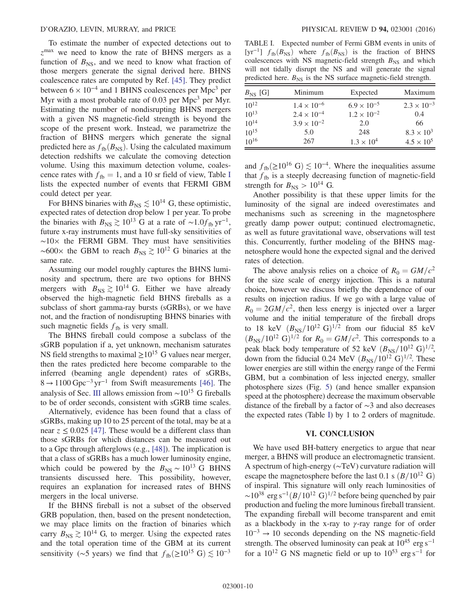To estimate the number of expected detections out to  $z<sup>max</sup>$  we need to know the rate of BHNS mergers as a function of  $B_{\text{NS}}$ , and we need to know what fraction of those mergers generate the signal derived here. BHNS coalescence rates are computed by Ref. [\[45\]](#page-11-31). They predict between  $6 \times 10^{-4}$  and 1 BHNS coalescences per Mpc<sup>3</sup> per Myr with a most probable rate of 0.03 per Mpc<sup>3</sup> per Myr. Estimating the number of nondisrupting BHNS mergers with a given NS magnetic-field strength is beyond the scope of the present work. Instead, we parametrize the fraction of BHNS mergers which generate the signal predicted here as  $f_{\text{fb}}(B_{\text{NS}})$ . Using the calculated maximum detection redshifts we calculate the comoving detection volume. Using this maximum detection volume, coalescence rates with  $f_{\text{fb}} = 1$ , and a 10 sr field of view, Table [I](#page-9-0) lists the expected number of events that FERMI GBM could detect per year.

For BHNS binaries with  $B_{\text{NS}} \lesssim 10^{14}$  G, these optimistic, expected rates of detection drop below 1 per year. To probe the binaries with  $B_{\text{NS}} \gtrsim 10^{13}$  G at a rate of ~1.0 $f_{\text{fb}}$  yr<sup>-1</sup>, future x-ray instruments must have full-sky sensitivities of  $~\sim$ 10 $\times$  the FERMI GBM. They must have sensitivities ~600× the GBM to reach  $B_{\text{NS}} \gtrsim 10^{12}$  G binaries at the same rate.

Assuming our model roughly captures the BHNS luminosity and spectrum, there are two options for BHNS mergers with  $B_{NS} \gtrsim 10^{14}$  G. Either we have already observed the high-magnetic field BHNS fireballs as a subclass of short gamma-ray bursts (sGRBs), or we have not, and the fraction of nondisrupting BHNS binaries with such magnetic fields  $f_{\text{fb}}$  is very small.

The BHNS fireball could compose a subclass of the sGRB population if a, yet unknown, mechanism saturates NS field strengths to maximal  $>10^{15}$  G values near merger, then the rates predicted here become comparable to the inferred (beaming angle dependent) rates of sGRBs,  $8 \rightarrow 1100 \,\text{Gpc}^{-3} \,\text{yr}^{-1}$  from Swift measurements [\[46\]](#page-11-32). The analysis of Sec. [III](#page-4-2) allows emission from  $\sim 10^{15}$  G fireballs to be of order seconds, consistent with sGRB time scales.

Alternatively, evidence has been found that a class of sGRBs, making up 10 to 25 percent of the total, may be at a near  $z \le 0.025$  [\[47\]](#page-11-33). These would be a different class than those sGRBs for which distances can be measured out to a Gpc through afterglows (e.g., [\[48\]\)](#page-11-34). The implication is that a class of sGRBs has a much lower luminosity engine, which could be powered by the  $B_{NS} \sim 10^{13}$  G BHNS transients discussed here. This possibility, however, requires an explanation for increased rates of BHNS mergers in the local universe.

If the BHNS fireball is not a subset of the observed GRB population, then, based on the present nondetection, we may place limits on the fraction of binaries which carry  $B_{\text{NS}} \gtrsim 10^{14}$  G, to merger. Using the expected rates and the total operation time of the GBM at its current sensitivity (∼5 years) we find that  $f_{\text{fb}}(\geq 10^{15} \text{ G}) \lesssim 10^{-3}$ 

<span id="page-9-0"></span>TABLE I. Expected number of Fermi GBM events in units of [yr<sup>-1</sup>]  $f_{\text{fb}}(B_{\text{NS}})$  where  $f_{\text{fb}}(B_{\text{NS}})$  is the fraction of BHNS coalescences with NS magnetic-field strength  $B_{NS}$  and which will not tidally disrupt the NS and will generate the signal predicted here.  $B_{NS}$  is the NS surface magnetic-field strength.

| $B_{\text{NS}}$ [G] | Minimum              | Expected             | Maximum              |
|---------------------|----------------------|----------------------|----------------------|
| $10^{12}$           | $1.4 \times 10^{-6}$ | $6.9 \times 10^{-5}$ | $2.3 \times 10^{-3}$ |
| $10^{13}$           | $2.4 \times 10^{-4}$ | $1.2 \times 10^{-2}$ | 0.4                  |
| $10^{14}$           | $3.9 \times 10^{-2}$ | 2.0                  | 66                   |
| $10^{15}$           | 5.0                  | 248                  | $8.3 \times 10^{3}$  |
| $10^{16}$           | 267                  | $1.3 \times 10^{4}$  | $4.5 \times 10^{5}$  |

and  $f_{\text{fb}}(\geq 10^{16} \text{ G}) \lesssim 10^{-4}$ . Where the inequalities assume that  $f_{\text{fb}}$  is a steeply decreasing function of magnetic-field strength for  $B_{\text{NS}} > 10^{14}$  G.

Another possibility is that these upper limits for the luminosity of the signal are indeed overestimates and mechanisms such as screening in the magnetosphere greatly damp power output; continued electromagnetic, as well as future gravitational wave, observations will test this. Concurrently, further modeling of the BHNS magnetosphere would hone the expected signal and the derived rates of detection.

The above analysis relies on a choice of  $R_0 = GM/c^2$ for the size scale of energy injection. This is a natural choice, however we discuss briefly the dependence of our results on injection radius. If we go with a large value of  $R_0 = 2GM/c^2$ , then less energy is injected over a larger volume and the initial temperature of the fireball drops to 18 keV  $(B_{NS}/10^{12} \text{ G})^{1/2}$  from our fiducial 85 keV  $(B_{\text{NS}}/10^{12} \text{ G})^{1/2}$  for  $R_0 = GM/c^2$ . This corresponds to a peak black body temperature of 52 keV  $(B_{\text{NS}}/10^{12} \text{ G})^{1/2}$ , down from the fiducial 0.24 MeV  $(B_{\text{NS}}/10^{12} \text{ G})^{1/2}$ . These lower energies are still within the energy range of the Fermi GBM, but a combination of less injected energy, smaller photosphere sizes (Fig. [5\)](#page-6-0) (and hence smaller expansion speed at the photosphere) decrease the maximum observable distance of the fireball by a factor of ∼3 and also decreases the expected rates (Table [I\)](#page-9-0) by 1 to 2 orders of magnitude.

#### VI. CONCLUSION

We have used BH-battery energetics to argue that near merger, a BHNS will produce an electromagnetic transient. A spectrum of high-energy (∼TeV) curvature radiation will escape the magnetosphere before the last 0.1 s  $(B/10^{12} \text{ G})$ of inspiral. This signature will only reach luminosities of  $\sim$ 10<sup>38</sup> erg s<sup>-1</sup>(B/10<sup>12</sup> G)<sup>1/2</sup> before being quenched by pair production and fueling the more luminous fireball transient. The expanding fireball will become transparent and emit as a blackbody in the x-ray to  $\gamma$ -ray range for of order  $10^{-3} \rightarrow 10$  seconds depending on the NS magnetic-field strength. The observed luminosity can peak at  $10^{45}$  erg s<sup>-1</sup> for a  $10^{12}$  G NS magnetic field or up to  $10^{53}$  erg s<sup>-1</sup> for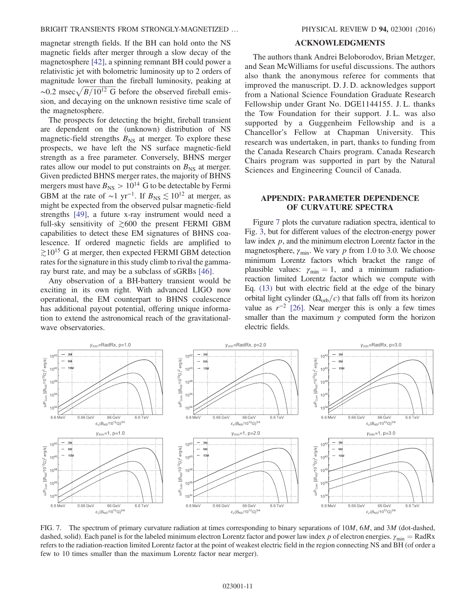#### BRIGHT TRANSIENTS FROM STRONGLY-MAGNETIZED ... PHYSICAL REVIEW D 94, 023001 (2016)

magnetar strength fields. If the BH can hold onto the NS magnetic fields after merger through a slow decay of the magnetosphere [\[42\],](#page-11-28) a spinning remnant BH could power a relativistic jet with bolometric luminosity up to 2 orders of magnitude lower than the fireball luminosity, peaking at ~0.2 msec $\sqrt{\frac{B}{10^{12} \text{ G}}}$  before the observed fireball emission, and decaying on the unknown resistive time scale of the magnetosphere.

The prospects for detecting the bright, fireball transient are dependent on the (unknown) distribution of NS magnetic-field strengths  $B_{NS}$  at merger. To explore these prospects, we have left the NS surface magnetic-field strength as a free parameter. Conversely, BHNS merger rates allow our model to put constraints on  $B_{NS}$  at merger. Given predicted BHNS merger rates, the majority of BHNS mergers must have  $B_{\text{NS}} > 10^{14}$  G to be detectable by Fermi GBM at the rate of ~1 yr<sup>-1</sup>. If  $B_{\text{NS}} \lesssim 10^{12}$  at merger, as might be expected from the observed pulsar magnetic-field strengths [\[49\],](#page-11-35) a future x-ray instrument would need a full-sky sensitivity of  $\geq 600$  the present FERMI GBM capabilities to detect these EM signatures of BHNS coalescence. If ordered magnetic fields are amplified to  $\geq 10^{15}$  G at merger, then expected FERMI GBM detection rates for the signature in this study climb to rival the gammaray burst rate, and may be a subclass of sGRBs [\[46\].](#page-11-32)

Any observation of a BH-battery transient would be exciting in its own right. With advanced LIGO now operational, the EM counterpart to BHNS coalescence has additional payout potential, offering unique information to extend the astronomical reach of the gravitationalwave observatories.

## ACKNOWLEDGMENTS

The authors thank Andrei Beloborodov, Brian Metzger, and Sean McWilliams for useful discussions. The authors also thank the anonymous referee for comments that improved the manuscript. D. J. D. acknowledges support from a National Science Foundation Graduate Research Fellowship under Grant No. DGE1144155. J. L. thanks the Tow Foundation for their support. J. L. was also supported by a Guggenheim Fellowship and is a Chancellor's Fellow at Chapman University. This research was undertaken, in part, thanks to funding from the Canada Research Chairs program. Canada Research Chairs program was supported in part by the Natural Sciences and Engineering Council of Canada.

# APPENDIX: PARAMETER DEPENDENCE OF CURVATURE SPECTRA

Figure [7](#page-10-0) plots the curvature radiation spectra, identical to Fig. [3](#page-4-0), but for different values of the electron-energy power law index  $p$ , and the minimum electron Lorentz factor in the magnetosphere,  $\gamma_{\text{min}}$ . We vary p from 1.0 to 3.0. We choose minimum Lorentz factors which bracket the range of plausible values:  $\gamma_{\text{min}} = 1$ , and a minimum radiationreaction limited Lorentz factor which we compute with Eq. [\(13\)](#page-4-3) but with electric field at the edge of the binary orbital light cylinder ( $\Omega_{\text{orb}}/c$ ) that falls off from its horizon value as  $r^{-2}$  [\[26\]](#page-11-16). Near merger this is only a few times smaller than the maximum  $\gamma$  computed form the horizon electric fields.

<span id="page-10-0"></span>

FIG. 7. The spectrum of primary curvature radiation at times corresponding to binary separations of 10*M*, 6*M*, and 3*M* (dot-dashed, dashed, solid). Each panel is for the labeled minimum electron Lorentz factor and power law index p of electron energies.  $\gamma_{\rm min} = \text{RadRx}$ refers to the radiation-reaction limited Lorentz factor at the point of weakest electric field in the region connecting NS and BH (of order a few to 10 times smaller than the maximum Lorentz factor near merger).